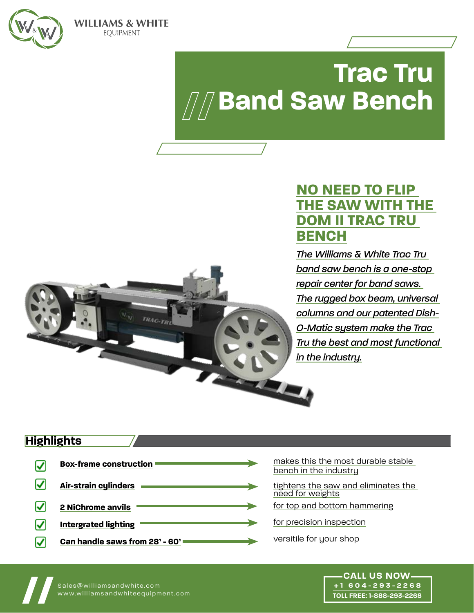

**WILLIAMS & WHITE EOUIPMENT** 

# **Trac Tru** *All* Band Saw Bench

## **NO NEED TO FLIP THE SAW WITH THE DOM II TRAC TRU BENCH**

*The Williams & White Trac Tru band saw bench is a one-stop repair center for band saws. The rugged box beam, universal columns and our patented Dish-O-Matic system make the Trac Tru the best and most functional in the industry.*



## **Highlights**

|   | <b>Box-frame construction</b>  |  |
|---|--------------------------------|--|
| M | Air-strain cylinders           |  |
|   | <b>2 NiChrome anvils</b>       |  |
|   | <b>Intergrated lighting</b>    |  |
|   | Can handle saws from 28' - 60' |  |

- makes this the most durable stable bench in the industry
- tightens the saw and eliminates the need for weights
- for top and bottom hammering
- for precision inspection
- versitile for your shop

www.williamsandwhiteequipment.com **// CALL US NOW +1 604-293-2268 TOLL FREE: 1-888-293-2268**

Sales@williamsandwhite.com<br>www.williamsandwhiteequipment.com